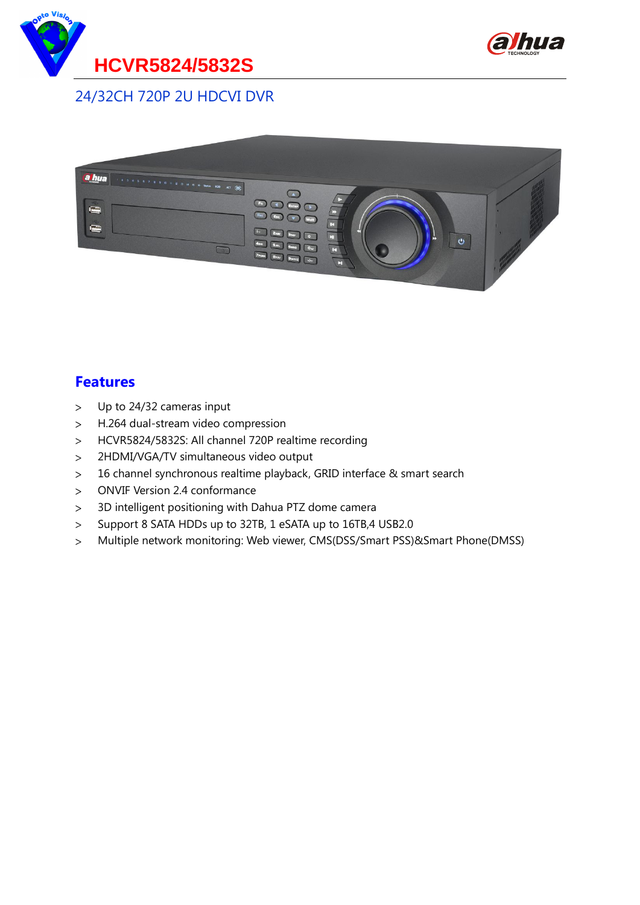



24/32CH 720P 2U HDCVI DVR



#### **Features**

- Up to 24/32 cameras input  $\geq$
- H.264 dual-stream video compression  $\, >$
- $\geq$ HCVR5824/5832S: All channel 720P realtime recording
- 2HDMI/VGA/TV simultaneous video output  $\geq$
- 16 channel synchronous realtime playback, GRID interface & smart search  $\geq$
- ONVIF Version 2.4 conformance  $\geq$
- 3D intelligent positioning with Dahua PTZ dome camera  $\geq$
- Support 8 SATA HDDs up to 32TB, 1 eSATA up to 16TB,4 USB2.0  $\geq$
- $\geq$ Multiple network monitoring: Web viewer, CMS(DSS/Smart PSS)&Smart Phone(DMSS)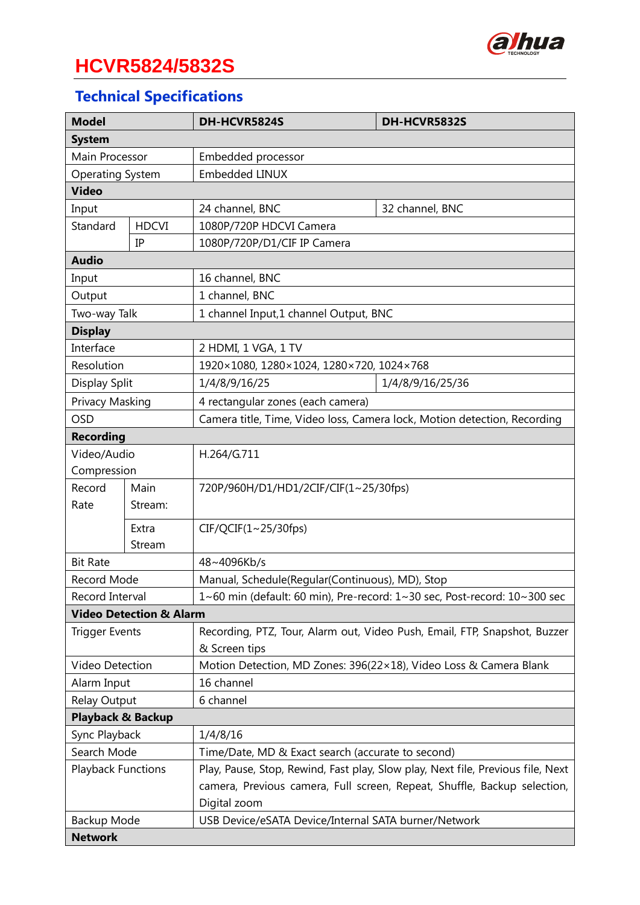

# **HCVR5824/5832S**

## **Technical Specifications**

| <b>Model</b>                       |              | DH-HCVR5824S                                                                    | DH-HCVR5832S     |  |
|------------------------------------|--------------|---------------------------------------------------------------------------------|------------------|--|
| <b>System</b>                      |              |                                                                                 |                  |  |
| Main Processor                     |              | Embedded processor                                                              |                  |  |
| <b>Operating System</b>            |              | <b>Embedded LINUX</b>                                                           |                  |  |
| <b>Video</b>                       |              |                                                                                 |                  |  |
| Input                              |              | 24 channel, BNC                                                                 | 32 channel, BNC  |  |
| Standard                           | <b>HDCVI</b> | 1080P/720P HDCVI Camera                                                         |                  |  |
| IP                                 |              | 1080P/720P/D1/CIF IP Camera                                                     |                  |  |
| <b>Audio</b>                       |              |                                                                                 |                  |  |
| Input                              |              | 16 channel, BNC                                                                 |                  |  |
| Output                             |              | 1 channel, BNC                                                                  |                  |  |
| Two-way Talk                       |              | 1 channel Input,1 channel Output, BNC                                           |                  |  |
| <b>Display</b>                     |              |                                                                                 |                  |  |
| Interface                          |              | 2 HDMI, 1 VGA, 1 TV                                                             |                  |  |
| Resolution                         |              | 1920×1080, 1280×1024, 1280×720, 1024×768                                        |                  |  |
| Display Split                      |              | 1/4/8/9/16/25                                                                   | 1/4/8/9/16/25/36 |  |
| Privacy Masking                    |              | 4 rectangular zones (each camera)                                               |                  |  |
| <b>OSD</b>                         |              | Camera title, Time, Video loss, Camera lock, Motion detection, Recording        |                  |  |
| <b>Recording</b>                   |              |                                                                                 |                  |  |
| Video/Audio                        |              | H.264/G.711                                                                     |                  |  |
| Compression                        |              |                                                                                 |                  |  |
| Record                             | Main         | 720P/960H/D1/HD1/2CIF/CIF(1~25/30fps)                                           |                  |  |
| Rate                               | Stream:      |                                                                                 |                  |  |
|                                    | Extra        | CIF/QCIF(1~25/30fps)                                                            |                  |  |
|                                    | Stream       |                                                                                 |                  |  |
| <b>Bit Rate</b>                    |              | 48~4096Kb/s                                                                     |                  |  |
| Record Mode                        |              | Manual, Schedule(Regular(Continuous), MD), Stop                                 |                  |  |
| Record Interval                    |              | 1~60 min (default: 60 min), Pre-record: 1~30 sec, Post-record: 10~300 sec       |                  |  |
| <b>Video Detection &amp; Alarm</b> |              |                                                                                 |                  |  |
| <b>Trigger Events</b>              |              | Recording, PTZ, Tour, Alarm out, Video Push, Email, FTP, Snapshot, Buzzer       |                  |  |
|                                    |              | & Screen tips                                                                   |                  |  |
| Video Detection                    |              | Motion Detection, MD Zones: 396(22×18), Video Loss & Camera Blank               |                  |  |
| Alarm Input                        |              | 16 channel                                                                      |                  |  |
| Relay Output                       |              | 6 channel                                                                       |                  |  |
| <b>Playback &amp; Backup</b>       |              |                                                                                 |                  |  |
| Sync Playback                      |              | 1/4/8/16                                                                        |                  |  |
| Search Mode                        |              | Time/Date, MD & Exact search (accurate to second)                               |                  |  |
| <b>Playback Functions</b>          |              | Play, Pause, Stop, Rewind, Fast play, Slow play, Next file, Previous file, Next |                  |  |
|                                    |              | camera, Previous camera, Full screen, Repeat, Shuffle, Backup selection,        |                  |  |
|                                    |              | Digital zoom                                                                    |                  |  |
| Backup Mode                        |              | USB Device/eSATA Device/Internal SATA burner/Network                            |                  |  |
| <b>Network</b>                     |              |                                                                                 |                  |  |